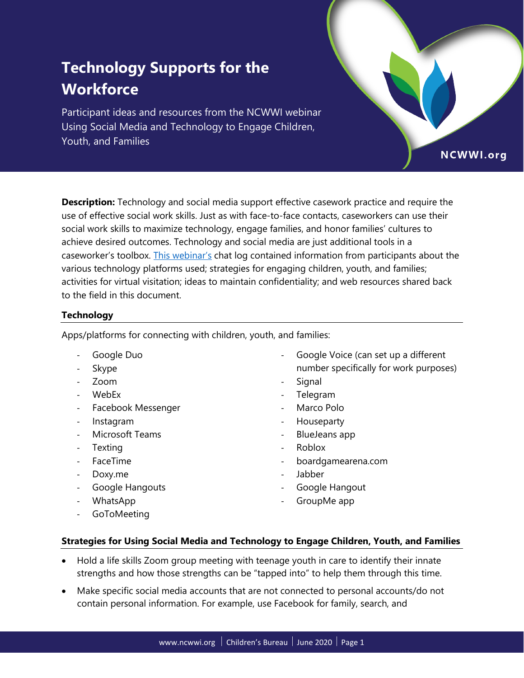# **Technology Supports for the Workforce**

Participant ideas and resources from the NCWWI webinar Using Social Media and Technology to Engage Children, Youth, and Families

**Description:** Technology and social media support effective casework practice and require the use of effective social work skills. Just as with face-to-face contacts, caseworkers can use their social work skills to maximize technology, engage families, and honor families' cultures to achieve desired outcomes. Technology and social media are just additional tools in a caseworker's toolbox. [This webinar's](https://ncwwi.org/supporting-the-virtual-workforce-session-6) chat log contained information from participants about the various technology platforms used; strategies for engaging children, youth, and families; activities for virtual visitation; ideas to maintain confidentiality; and web resources shared back to the field in this document.

## **Technology**

Apps/platforms for connecting with children, youth, and families:

- ‐ Google Duo
- **Skype**
- ‐ Zoom
- ‐ WebEx
- ‐ Facebook Messenger
- ‐ Instagram
- ‐ Microsoft Teams
- ‐ Texting
- ‐ FaceTime
- ‐ Doxy.me
- ‐ Google Hangouts
- ‐ WhatsApp
- ‐ GoToMeeting

‐ Google Voice (can set up a different number specifically for work purposes)

NCWWI.org

- **Signal**
- ‐ Telegram
- ‐ Marco Polo
- **Houseparty**
- ‐ BlueJeans app
- ‐ Roblox
- ‐ boardgamearena.com
- ‐ Jabber
- ‐ Google Hangout
- GroupMe app

#### **Strategies for Using Social Media and Technology to Engage Children, Youth, and Families**

- Hold a life skills Zoom group meeting with teenage youth in care to identify their innate strengths and how those strengths can be "tapped into" to help them through this time.
- Make specific social media accounts that are not connected to personal accounts/do not contain personal information. For example, use Facebook for family, search, and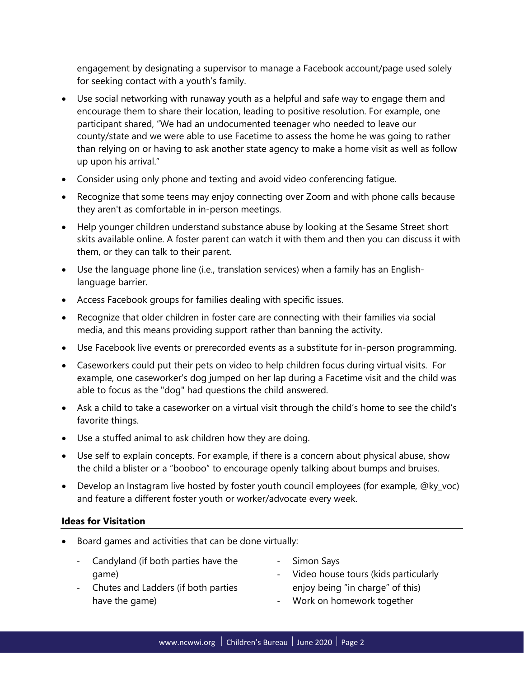engagement by designating a supervisor to manage a Facebook account/page used solely for seeking contact with a youth's family.

- Use social networking with runaway youth as a helpful and safe way to engage them and encourage them to share their location, leading to positive resolution. For example, one participant shared, "We had an undocumented teenager who needed to leave our county/state and we were able to use Facetime to assess the home he was going to rather than relying on or having to ask another state agency to make a home visit as well as follow up upon his arrival."
- Consider using only phone and texting and avoid video conferencing fatigue.
- Recognize that some teens may enjoy connecting over Zoom and with phone calls because they aren't as comfortable in in-person meetings.
- Help younger children understand substance abuse by looking at the Sesame Street short skits available online. A foster parent can watch it with them and then you can discuss it with them, or they can talk to their parent.
- Use the language phone line (i.e., translation services) when a family has an Englishlanguage barrier.
- Access Facebook groups for families dealing with specific issues.
- Recognize that older children in foster care are connecting with their families via social media, and this means providing support rather than banning the activity.
- Use Facebook live events or prerecorded events as a substitute for in-person programming.
- Caseworkers could put their pets on video to help children focus during virtual visits. For example, one caseworker's dog jumped on her lap during a Facetime visit and the child was able to focus as the "dog" had questions the child answered.
- Ask a child to take a caseworker on a virtual visit through the child's home to see the child's favorite things.
- Use a stuffed animal to ask children how they are doing.
- Use self to explain concepts. For example, if there is a concern about physical abuse, show the child a blister or a "booboo" to encourage openly talking about bumps and bruises.
- Develop an Instagram live hosted by foster youth council employees (for example, @ky\_voc) and feature a different foster youth or worker/advocate every week.

#### **Ideas for Visitation**

- Board games and activities that can be done virtually:
	- ‐ Candyland (if both parties have the game)
- ‐ Simon Says
- ‐ Chutes and Ladders (if both parties have the game)
- ‐ Video house tours (kids particularly enjoy being "in charge" of this)
- ‐ Work on homework together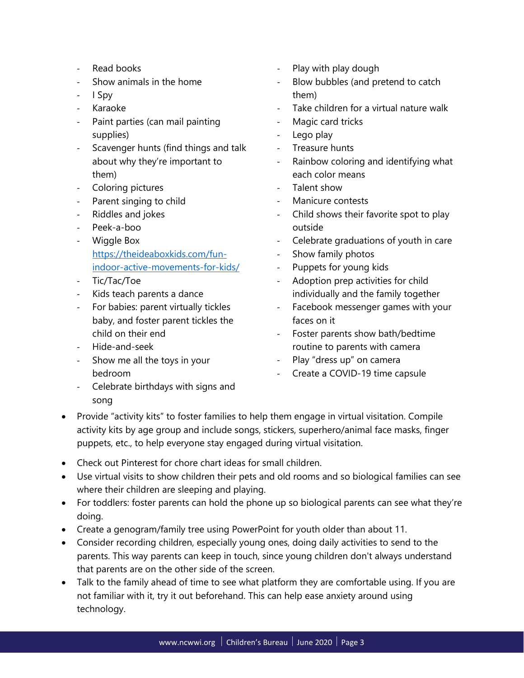- ‐ Read books
- ‐ Show animals in the home
- ‐ I Spy
- ‐ Karaoke
- ‐ Paint parties (can mail painting supplies)
- ‐ Scavenger hunts (find things and talk about why they're important to them)
- ‐ Coloring pictures
- ‐ Parent singing to child
- ‐ Riddles and jokes
- ‐ Peek-a-boo
- ‐ Wiggle Box [https://theideaboxkids.com/fun](https://theideaboxkids.com/fun-indoor-active-movements-for-kids/)[indoor-active-movements-for-kids/](https://theideaboxkids.com/fun-indoor-active-movements-for-kids/)
- ‐ Tic/Tac/Toe
- ‐ Kids teach parents a dance
- ‐ For babies: parent virtually tickles baby, and foster parent tickles the child on their end
- ‐ Hide-and-seek
- ‐ Show me all the toys in your bedroom
- ‐ Celebrate birthdays with signs and song
- ‐ Play with play dough
- ‐ Blow bubbles (and pretend to catch them)
- Take children for a virtual nature walk
- ‐ Magic card tricks
- ‐ Lego play
- ‐ Treasure hunts
- ‐ Rainbow coloring and identifying what each color means
- Talent show
- ‐ Manicure contests
- ‐ Child shows their favorite spot to play outside
- ‐ Celebrate graduations of youth in care
- ‐ Show family photos
- ‐ Puppets for young kids
- Adoption prep activities for child individually and the family together
- ‐ Facebook messenger games with your faces on it
- Foster parents show bath/bedtime routine to parents with camera
- ‐ Play "dress up" on camera
- ‐ Create a COVID-19 time capsule
- Provide "activity kits" to foster families to help them engage in virtual visitation. Compile activity kits by age group and include songs, stickers, superhero/animal face masks, finger puppets, etc., to help everyone stay engaged during virtual visitation.
- Check out Pinterest for chore chart ideas for small children.
- Use virtual visits to show children their pets and old rooms and so biological families can see where their children are sleeping and playing.
- For toddlers: foster parents can hold the phone up so biological parents can see what they're doing.
- Create a genogram/family tree using PowerPoint for youth older than about 11.
- Consider recording children, especially young ones, doing daily activities to send to the parents. This way parents can keep in touch, since young children don't always understand that parents are on the other side of the screen.
- Talk to the family ahead of time to see what platform they are comfortable using. If you are not familiar with it, try it out beforehand. This can help ease anxiety around using technology.